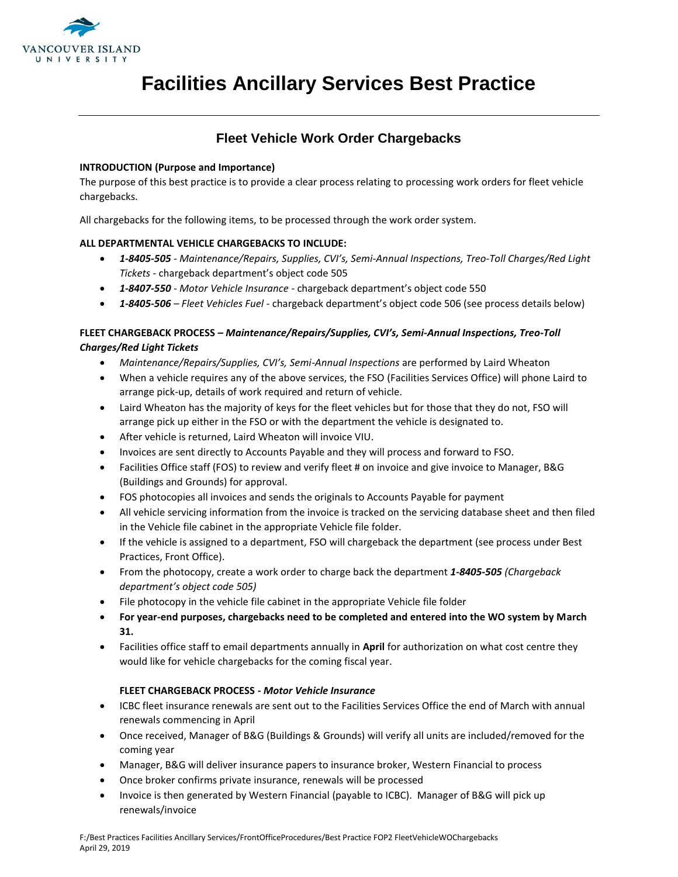

# **Facilities Ancillary Services Best Practice**

# **Fleet Vehicle Work Order Chargebacks**

#### **INTRODUCTION (Purpose and Importance)**

The purpose of this best practice is to provide a clear process relating to processing work orders for fleet vehicle chargebacks.

All chargebacks for the following items, to be processed through the work order system.

## **ALL DEPARTMENTAL VEHICLE CHARGEBACKS TO INCLUDE:**

- *1-8405-505 - Maintenance/Repairs, Supplies, CVI's, Semi-Annual Inspections, Treo-Toll Charges/Red Light Tickets* - chargeback department's object code 505
- *1-8407-550 - Motor Vehicle Insurance -* chargeback department's object code 550
- *1-8405-506 – Fleet Vehicles Fuel* chargeback department's object code 506 (see process details below)

## **FLEET CHARGEBACK PROCESS –** *Maintenance/Repairs/Supplies, CVI's, Semi-Annual Inspections, Treo-Toll Charges/Red Light Tickets*

- *Maintenance/Repairs/Supplies, CVI's, Semi-Annual Inspections* are performed by Laird Wheaton
- When a vehicle requires any of the above services, the FSO (Facilities Services Office) will phone Laird to arrange pick-up, details of work required and return of vehicle.
- Laird Wheaton has the majority of keys for the fleet vehicles but for those that they do not, FSO will arrange pick up either in the FSO or with the department the vehicle is designated to.
- After vehicle is returned, Laird Wheaton will invoice VIU.
- Invoices are sent directly to Accounts Payable and they will process and forward to FSO.
- Facilities Office staff (FOS) to review and verify fleet # on invoice and give invoice to Manager, B&G (Buildings and Grounds) for approval.
- FOS photocopies all invoices and sends the originals to Accounts Payable for payment
- All vehicle servicing information from the invoice is tracked on the servicing database sheet and then filed in the Vehicle file cabinet in the appropriate Vehicle file folder.
- If the vehicle is assigned to a department, FSO will chargeback the department (see process under Best Practices, Front Office).
- From the photocopy, create a work order to charge back the department *1-8405-505 (Chargeback department's object code 505)*
- File photocopy in the vehicle file cabinet in the appropriate Vehicle file folder
- **For year-end purposes, chargebacks need to be completed and entered into the WO system by March 31.**
- Facilities office staff to email departments annually in **April** for authorization on what cost centre they would like for vehicle chargebacks for the coming fiscal year.

## **FLEET CHARGEBACK PROCESS -** *Motor Vehicle Insurance*

- ICBC fleet insurance renewals are sent out to the Facilities Services Office the end of March with annual renewals commencing in April
- Once received, Manager of B&G (Buildings & Grounds) will verify all units are included/removed for the coming year
- Manager, B&G will deliver insurance papers to insurance broker, Western Financial to process
- Once broker confirms private insurance, renewals will be processed
- Invoice is then generated by Western Financial (payable to ICBC). Manager of B&G will pick up renewals/invoice